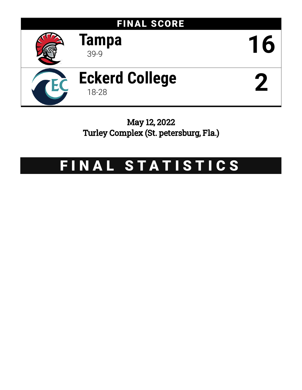

May 12, 2022 Turley Complex (St. petersburg, Fla.)

# FINAL STATISTICS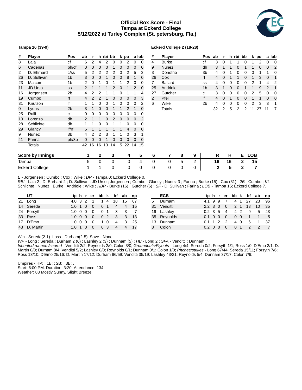# **Official Box Score - Final Tampa at Eckerd College 5/12/2022 at Turley Complex (St. petersburg, Fla.)**



# **Tampa 16 (39-9)**

# **Eckerd College 2 (18-28)**

| #     | Player                  | Pos            | ab          |    |              | h rbi bb |          |   | k po |             | a lob | #  | <b>Player</b>  |   |   | Pos            | ab | r        | h  |   | rbi bb |            | k po |    | a lob    |
|-------|-------------------------|----------------|-------------|----|--------------|----------|----------|---|------|-------------|-------|----|----------------|---|---|----------------|----|----------|----|---|--------|------------|------|----|----------|
| 8     | Lala                    | сf             | 6           | 2  |              | 2        | $\Omega$ | 0 | 2    | 0           | 0     | 4  | <b>Burke</b>   |   |   | сf             | 3  | 0        |    |   |        |            | 2    | 0  | $\Omega$ |
| 6     | Cadenas                 | ph/cf          | $\mathbf 0$ | 0  | 0            | 0        |          | 0 | 0    | $\mathbf 0$ | 0     | 9  | Nunez          |   |   | dh             | 3  |          |    | 0 |        |            | 0    | 0  | 2        |
| 2     | D. Ehrhard              | c/ss           | 5           |    |              |          |          |   |      | 5           | 3     | 3  | Donofrio       |   |   | Зb             | 4  |          |    |   |        |            |      |    |          |
| 26    | D. Sullivan             | 1 <sub>b</sub> | 3           |    |              |          |          | 0 | 8    |             | 0     | 26 | Cox            |   |   | rf             | 4  | $\Omega$ |    |   |        |            | 3    | 0  |          |
| 23    | Malcom                  | 1b             |             | 0  |              | 0        |          |   | 2    | 0           | 0     |    | <b>Ballard</b> |   |   | SS             | 4  | 0        | O  | 0 |        |            |      | 4  | 2        |
| 11    | JD Urso                 | SS             |             |    |              |          |          |   |      |             | 0     | 25 | Andriole       |   |   | 1 <sub>b</sub> | 3  |          |    |   |        |            | 9    | 2  |          |
| 16    | Jorgensen               | 2 <sub>b</sub> | 4           |    |              |          |          |   |      |             | 4     | 27 | Gutcher        |   |   | с              | 3  |          |    |   |        |            | 5    | 0  |          |
| 19    | Cumbo                   | rf             | 4           |    |              |          | 0        | 0 | 0    | 0           | 3     | 2  | Pfeil          |   |   | lf             | 4  | $\Omega$ |    | 0 | 0      |            |      | 0  | 0        |
| 31    | Knutson                 | lf             |             |    |              |          |          |   |      |             | 2     | 6  | Wike           |   |   | 2 <sub>b</sub> | 4  | 0        | 0  | 0 | 0      |            | 3    | 3  |          |
| 0     | Lyons                   | 2 <sub>b</sub> | 3           |    |              |          |          |   |      |             | 0     |    | <b>Totals</b>  |   |   |                | 32 | 2        | 5  | 2 | 2      | 11         | 27   | 11 | 7        |
| 25    | Rulli                   | С              | 0           | 0  | 0            | 0        | 0        | 0 | 0    | 0           |       |    |                |   |   |                |    |          |    |   |        |            |      |    |          |
| 10    | Lorenzo                 | dh             |             |    |              |          |          | 0 |      | 0           | 2     |    |                |   |   |                |    |          |    |   |        |            |      |    |          |
| 28    | Schlichte               | dh             |             |    |              |          |          |   |      | 0           | 0     |    |                |   |   |                |    |          |    |   |        |            |      |    |          |
| 29    | Glancy                  | lf/rf          | 5           |    |              |          |          |   | 4    | $\Omega$    | 0     |    |                |   |   |                |    |          |    |   |        |            |      |    |          |
| 9     | Nunez                   | 3b             | 4           |    |              | 3        |          |   | 0    | 3           |       |    |                |   |   |                |    |          |    |   |        |            |      |    |          |
| 41    | Farina                  | ph/3b          | $\mathbf 0$ | 0  | 0            |          | 0        | 0 | 0    | 0           | 0     |    |                |   |   |                |    |          |    |   |        |            |      |    |          |
|       | Totals                  |                | 42          | 16 | 16           | 13       | 14       | 5 | 22   | 14          | 15    |    |                |   |   |                |    |          |    |   |        |            |      |    |          |
|       | <b>Score by Innings</b> |                | 1           |    | $\mathbf{2}$ |          | 3        |   | 4    |             | 5     | 6  | 7              | 8 | 9 |                | R  |          | н  |   | Е.     | <b>LOB</b> |      |    |          |
| Tampa |                         |                | 5           |    | 0            |          | 0        |   | 0    |             | 4     | 0  | 0              | 5 | 2 |                | 16 |          | 16 |   | 2      | 15         |      |    |          |
|       | <b>Eckerd College</b>   |                |             |    | 1            |          | 0        |   | 0    |             | 0     | 0  | 0              | 0 | 0 |                | 2  |          | 5  |   | 2      | 7          |      |    |          |

*E* - Jorgensen ; Cumbo ; Cox ; Wike ; *DP* - Tampa 0; Eckerd College 0.

*RBI* - Lala 2 ; D. Ehrhard 2 ; D. Sullivan ; JD Urso ; Jorgensen ; Cumbo ; Glancy ; Nunez 3 ; Farina ; Burke (15) ; Cox (31) ; *2B* - Cumbo ; *KL* - Schlichte ; Nunez ; Burke ; Andriole ; Wike ; *HBP* - Burke (16) ; Gutcher (6) ; *SF* - D. Sullivan ; Farina ; *LOB* - Tampa 15; Eckerd College 7.

| UT           |               |  |          |                |    |                | iphrerbbk bfab | np   |    | ECB         |                       |  |               |                |     |        | iphrerbbk bfab np |                |
|--------------|---------------|--|----------|----------------|----|----------------|----------------|------|----|-------------|-----------------------|--|---------------|----------------|-----|--------|-------------------|----------------|
| 21 Long      |               |  |          | 4.0 3 2 1 1 4  |    | 18             | 15             | - 67 | 5. | Durham      | 4.1 9 9               |  |               |                | 4 1 | 27     | 23                | - 96           |
| 14 Sereda    | 1.0 1 0       |  | $\Omega$ | 0 <sub>1</sub> |    | $\overline{4}$ |                | 4 15 | 31 | Venditti    | $2.2 \t3 \t0$         |  | $\Omega$      |                |     | 2 1 13 | 10                | - 35           |
| 24 Forsyth   | 1.0 0 0       |  | $\Omega$ |                |    |                |                |      |    | 19 Lashley  | $0.2 \, 3 \, 5$       |  | 4             | 4 2            |     | - 9    | - 5               | - 43           |
| 33 Ross      | 1.0 0 0       |  | $\Omega$ | 0 <sub>2</sub> |    | 3              | - 3            | -13  |    | 35 Reynolds | $0.1 \t0 \t0$         |  | 0             | 0 <sub>0</sub> |     | 1      | 1 5               |                |
| 17 D'Emo     | 1.0 0 0       |  | $\Omega$ |                | 10 | 4              | -3             | - 25 | 13 | Dunnam      | $0.1$ 1 2             |  | $\mathcal{P}$ | 40             |     | -6     | $\overline{1}$    | - 37           |
| 43 D. Martin | $1.0 \t1 \t0$ |  | $\Omega$ | 0 <sub>3</sub> |    | 4              | 4              | - 17 |    | 8 Colon     | $0.2 \quad 0 \quad 0$ |  | 0             | 0 <sub>1</sub> |     |        |                   | $\overline{7}$ |

Win - Sereda(2-1). Loss - Durham(2-5). Save - None.

*WP* - Long ; Sereda ; Durham 2 (6) ; Lashley 2 (3) ; Dunnam (5) ; *HB* - Long 2 ; *SFA* - Venditti ; Dunnam ;

*Inherited runners/scored* - Venditti 2/2; Reynolds 2/0; Colon 3/0; *Groundouts/Flyouts* - Long 4/4; Sereda 0/2; Forsyth 1/1; Ross 1/0; D'Emo 2/1; D. Martin 0/0; Durham 8/4; Venditti 5/2; Lashley 0/0; Reynolds 0/1; Dunnam 0/1; Colon 1/0; *PItches/strikes* - Long 67/44; Sereda 15/11; Forsyth 7/6; Ross 13/10; D'Emo 25/16; D. Martin 17/12; Durham 96/59; Venditti 35/19; Lashley 43/21; Reynolds 5/4; Dunnam 37/17; Colon 7/6;

Umpires - HP: ; 1B: ; 2B: ; 3B: . Start: 6:00 PM. Duration: 3:20. Attendance: 134 Weather: 83 Mostly Sunny, Slight Breeze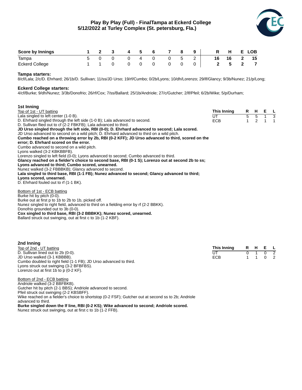

**This Inning R H E L**<br> **CCB 1 1 0 2**<br> **ECB 1 1 0 2** UT 0 1 0<br>ECB 1 1 0

ECB

| <b>Score by Innings</b> |  | 4 | 5 | - 6 | 78 |     | 9 <sup>1</sup> | R H E LOB  |  |
|-------------------------|--|---|---|-----|----|-----|----------------|------------|--|
| Tampa                   |  |   | 4 |     |    | - 5 |                | 16 16 2 15 |  |
| <b>Eckerd College</b>   |  |   |   |     |    |     |                | 5 2 7      |  |

### **Tampa starters:**

8/cf/Lala; 2/c/D. Ehrhard; 26/1b/D. Sullivan; 11/ss/JD Urso; 19/rf/Cumbo; 0/2b/Lyons; 10/dh/Lorenzo; 29/lf/Glancy; 9/3b/Nunez; 21/p/Long;

#### **Eckerd College starters:**

4/cf/Burke; 9/dh/Nunez; 3/3b/Donofrio; 26/rf/Cox; 7/ss/Ballard; 25/1b/Andriole; 27/c/Gutcher; 2/lf/Pfeil; 6/2b/Wike; 5/p/Durham;

| 1st Inning                                                                                                               |             |              |             |              |          |
|--------------------------------------------------------------------------------------------------------------------------|-------------|--------------|-------------|--------------|----------|
| Top of 1st - UT batting                                                                                                  | This Inning | R            | H           | Е            | <b>L</b> |
| Lala singled to left center (1-0 B).                                                                                     | UT          | 5            | $5 \quad 1$ |              | 3        |
| D. Ehrhard singled through the left side (1-0 B); Lala advanced to second.                                               | <b>ECB</b>  | $\mathbf{1}$ | 2           | $\mathbf{1}$ | 1        |
| D. Sullivan flied out to cf (2-2 FBKFB); Lala advanced to third.                                                         |             |              |             |              |          |
| JD Urso singled through the left side, RBI (0-0); D. Ehrhard advanced to second; Lala scored.                            |             |              |             |              |          |
| JD Urso advanced to second on a wild pitch; D. Ehrhard advanced to third on a wild pitch.                                |             |              |             |              |          |
| Cumbo reached on a throwing error by 2b, RBI (0-2 KFF); JD Urso advanced to third, scored on the                         |             |              |             |              |          |
| error; D. Ehrhard scored on the error.                                                                                   |             |              |             |              |          |
| Cumbo advanced to second on a wild pitch.                                                                                |             |              |             |              |          |
| Lyons walked (3-2 KBKBBFB).                                                                                              |             |              |             |              |          |
| Lorenzo singled to left field (0-0); Lyons advanced to second; Cumbo advanced to third.                                  |             |              |             |              |          |
| Glancy reached on a fielder's choice to second base, RBI (0-1 S); Lorenzo out at second 2b to ss;                        |             |              |             |              |          |
| Lyons advanced to third; Cumbo scored, unearned.                                                                         |             |              |             |              |          |
| Nunez walked (3-2 FBBBKB); Glancy advanced to second.                                                                    |             |              |             |              |          |
| Lala singled to third base, RBI (1-1 FB); Nunez advanced to second; Glancy advanced to third;<br>Lyons scored, unearned. |             |              |             |              |          |
| D. Ehrhard fouled out to rf (1-1 BK).                                                                                    |             |              |             |              |          |
|                                                                                                                          |             |              |             |              |          |
| Bottom of 1st - ECB batting                                                                                              |             |              |             |              |          |
| Burke hit by pitch (0-0).                                                                                                |             |              |             |              |          |
| Burke out at first p to 1b to 2b to 1b, picked off.                                                                      |             |              |             |              |          |
| Nunez singled to right field, advanced to third on a fielding error by rf (2-2 BBKK).                                    |             |              |             |              |          |
| Donofrio grounded out to 3b (0-0).                                                                                       |             |              |             |              |          |
| Cox singled to third base, RBI (3-2 BBBKK); Nunez scored, unearned.                                                      |             |              |             |              |          |
| Ballard struck out swinging, out at first c to 1b (1-2 KBF).                                                             |             |              |             |              |          |
|                                                                                                                          |             |              |             |              |          |
|                                                                                                                          |             |              |             |              |          |
|                                                                                                                          |             |              |             |              |          |
|                                                                                                                          |             |              |             |              |          |

| 2nd Inning                                                        |  |
|-------------------------------------------------------------------|--|
| Top of 2nd - UT batting                                           |  |
| D. Sullivan lined out to 2b (0-0).                                |  |
| JD Urso walked (3-1 KBBBB).                                       |  |
| Cumbo doubled to right field (1-1 FB); JD Urso advanced to third. |  |
| Lyons struck out swinging (3-2 BFBFBS).                           |  |
| Lorenzo out at first 1b to $p(0-2 KF)$ .                          |  |

Bottom of 2nd - ECB batting Andriole walked (3-2 BBFBKB). Gutcher hit by pitch (2-1 BBS); Andriole advanced to second. Pfeil struck out swinging (2-2 KBSBFF). Wike reached on a fielder's choice to shortstop (0-2 FSF); Gutcher out at second ss to 2b; Andriole advanced to third. **Burke singled down the lf line, RBI (0-2 KS); Wike advanced to second; Andriole scored.** Nunez struck out swinging, out at first c to 1b (1-2 FFB).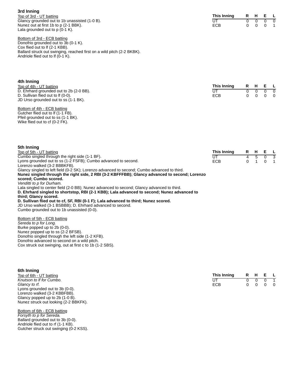#### **3rd Inning**

Top of 3rd - UT batting Glancy grounded out to 1b unassisted (1-0 B). Nunez out at first 1b to p (2-1 BBK). Lala grounded out to  $p$  (0-1 K).

| This Inning | R | н |   |  |
|-------------|---|---|---|--|
| UT          |   |   |   |  |
| ECB         | n |   | O |  |

Bottom of 3rd - ECB batting Donofrio grounded out to 3b (0-1 K). Cox flied out to lf (2-1 KBB). Ballard struck out swinging, reached first on a wild pitch (2-2 BKBK). Andriole flied out to If  $(0-1 K)$ .

| 4th Inning                              |             |  |  |                                   |  |  |  |  |  |  |  |  |
|-----------------------------------------|-------------|--|--|-----------------------------------|--|--|--|--|--|--|--|--|
| Top of 4th - UT batting                 | This Inning |  |  | R H E L                           |  |  |  |  |  |  |  |  |
| D. Ehrhard grounded out to 2b (2-0 BB). |             |  |  | $\begin{matrix}0&0&0\end{matrix}$ |  |  |  |  |  |  |  |  |
| D. Sullivan flied out to If (0-0).      | <b>ECB</b>  |  |  | $0\quad 0\quad 0\quad 0$          |  |  |  |  |  |  |  |  |
| JD Urso grounded out to ss (1-1 BK).    |             |  |  |                                   |  |  |  |  |  |  |  |  |

Bottom of 4th - ECB batting Gutcher flied out to If (1-1 FB). Pfeil grounded out to ss (1-1 BK). Wike flied out to cf (0-2 FK).

| วแเ แแแเเน                                                                                    |             |  |                 |  |
|-----------------------------------------------------------------------------------------------|-------------|--|-----------------|--|
| Top of 5th - UT batting                                                                       | This Inning |  | R H E L         |  |
| Cumbo singled through the right side (1-1 BF).                                                | U٦          |  | 4 5 0 3         |  |
| Lyons grounded out to ss (1-2 FSFB); Cumbo advanced to second.                                | <b>ECB</b>  |  | $0 \t1 \t0 \t1$ |  |
| Lorenzo walked (3-2 BBBKFB).                                                                  |             |  |                 |  |
| Glancy singled to left field (0-2 SK); Lorenzo advanced to second; Cumbo advanced to third.   |             |  |                 |  |
| Nunez singled through the right side, 2 RBI (3-2 KBFFFBB); Glancy advanced to second; Lorenzo |             |  |                 |  |
| ceorad: Cumho ceorad                                                                          |             |  |                 |  |

**scored; Cumbo scored.** *Venditti to p for Durham.*

**5th Inning**

Lala singled to center field (2-0 BB); Nunez advanced to second; Glancy advanced to third.

**D. Ehrhard singled to shortstop, RBI (2-1 KBB); Lala advanced to second; Nunez advanced to**

**third; Glancy scored.**

**D. Sullivan flied out to cf, SF, RBI (0-1 F); Lala advanced to third; Nunez scored.** JD Urso walked (3-1 BSBBB); D. Ehrhard advanced to second. Cumbo grounded out to 1b unassisted (0-0).

Bottom of 5th - ECB batting *Sereda to p for Long.* Burke popped up to 2b (0-0). Nunez popped up to ss (2-2 BFSB). Donofrio singled through the left side (1-2 KFB). Donofrio advanced to second on a wild pitch. Cox struck out swinging, out at first c to 1b (1-2 SBS).

| 6th Inning                            |             |    |   |   |              |
|---------------------------------------|-------------|----|---|---|--------------|
| Top of 6th - UT batting               | This Inning | R. | н | Е | $\mathsf{L}$ |
| Knutson to If for Cumbo.              | UT          |    |   |   |              |
| Glancy to rf.                         | <b>ECB</b>  |    |   |   | - 0          |
| Lyons grounded out to 3b (0-0).       |             |    |   |   |              |
| Lorenzo walked (3-2 KBBFBB).          |             |    |   |   |              |
| Glancy popped up to 2b (1-0 B).       |             |    |   |   |              |
| Nunez struck out looking (2-2 BBKFK). |             |    |   |   |              |
| Bottom of 6th - ECB batting           |             |    |   |   |              |

*Forsyth to p for Sereda.* Ballard grounded out to 3b (0-0). Andriole flied out to rf (1-1 KB). Gutcher struck out swinging (0-2 KSS).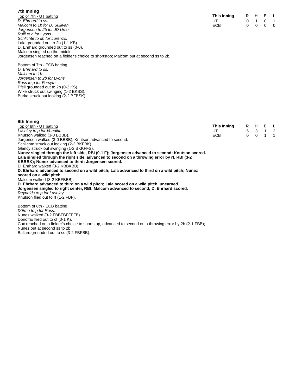# **7th Inning**

Top of 7th - UT batting *D. Ehrhard to ss. Malcom to 1b for D. Sullivan. Jorgensen to 2b for JD Urso. Rulli to c for Lyons. Schlichte to dh for Lorenzo.* Lala grounded out to 2b (1-1 KB). D. Ehrhard grounded out to ss (0-0). Malcom singled up the middle. Jorgensen reached on a fielder's choice to shortstop; Malcom out at second ss to 2b.

Bottom of 7th - ECB batting *D. Ehrhard to ss. Malcom to 1b. Jorgensen to 2b for Lyons. Ross to p for Forsyth.* Pfeil grounded out to 2b (0-2 KS). Wike struck out swinging (1-2 BKSS). Burke struck out looking (2-2 BFBSK).

| 8th Inning                                                                                      |             |   |               |             |                          |
|-------------------------------------------------------------------------------------------------|-------------|---|---------------|-------------|--------------------------|
| Top of 8th - UT batting                                                                         | This Inning |   | R H           | E L         |                          |
| Lashley to p for Venditti.                                                                      | UT.         | 5 | $\mathcal{B}$ | $1 \quad 2$ |                          |
| Knutson walked (3-0 BBBB).                                                                      | <b>ECB</b>  | 0 | $\Omega$      |             | $\overline{\phantom{1}}$ |
| Jorgensen walked (3-0 BBBB); Knutson advanced to second.                                        |             |   |               |             |                          |
| Schlichte struck out looking (2-2 BKFBK).                                                       |             |   |               |             |                          |
| Glancy struck out swinging (1-2 BKKFFS).                                                        |             |   |               |             |                          |
| Nunez singled through the left side, RBI (0-1 F); Jorgensen advanced to second; Knutson scored. |             |   |               |             |                          |
| Lala singled through the right side, advanced to second on a throwing error by rf, RBI (3-2)    |             |   |               |             |                          |
| KBBBK); Nunez advanced to third; Jorgensen scored.                                              |             |   |               |             |                          |
| D. Ehrhard walked (3-2 KBBKBB).                                                                 |             |   |               |             |                          |
| D. Ehrhard advanced to second on a wild pitch; Lala advanced to third on a wild pitch; Nunez    |             |   |               |             |                          |
| scored on a wild pitch.                                                                         |             |   |               |             |                          |
| Malcom walked (3-2 KBFBBB).                                                                     |             |   |               |             |                          |
| D. Ehrhard advanced to third on a wild pitch; Lala scored on a wild pitch, unearned.            |             |   |               |             |                          |
| Jorgensen singled to right center, RBI; Malcom advanced to second; D. Ehrhard scored.           |             |   |               |             |                          |
| Reynolds to p for Lashley.                                                                      |             |   |               |             |                          |

**This Inning R H E L** UT 0 1 0 1 ECB 0 0 0 0

Knutson flied out to rf (1-2 FBF).

Bottom of 8th - ECB batting *D'Emo to p for Ross.* Nunez walked (3-2 FBBFBFFFFB). Donofrio flied out to cf (0-1 K). Cox reached on a fielder's choice to shortstop, advanced to second on a throwing error by 2b (2-1 FBB); Nunez out at second ss to 2b. Ballard grounded out to ss (3-2 FBFBB).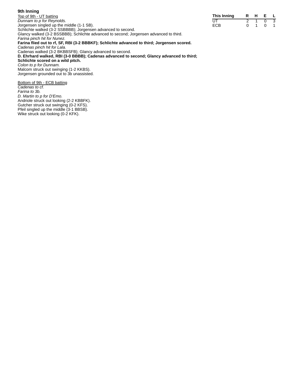# **9th Inning**

Top of 9th - UT batting *Dunnam to p for Reynolds.* Jorgensen singled up the middle (1-1 SB). Schlichte walked (3-2 SSBBBB); Jorgensen advanced to second. Glancy walked (3-2 BSSBBB); Schlichte advanced to second; Jorgensen advanced to third. *Farina pinch hit for Nunez.* **Farina flied out to rf, SF, RBI (3-2 BBBKF); Schlichte advanced to third; Jorgensen scored.** Cadenas walked (3-2 BKBBSFB); Glancy advanced to second. **D. Ehrhard walked, RBI (3-0 BBBB); Cadenas advanced to second; Glancy advanced to third; Schlichte scored on a wild pitch.** *Colon to p for Dunnam.* Malcom struck out swinging (1-2 KKBS). Jorgensen grounded out to 3b unassisted.

| This Inning | R | н |   |  |
|-------------|---|---|---|--|
| UT          |   |   |   |  |
| ECB         | n |   | O |  |

*Cadenas pinch hit for Lala.*

Bottom of 9th - ECB batting *Cadenas to cf. Farina to 3b. D. Martin to p for D'Emo.* Andriole struck out looking (2-2 KBBFK). Gutcher struck out swinging (0-2 KFS). Pfeil singled up the middle (3-1 BBSB). Wike struck out looking (0-2 KFK).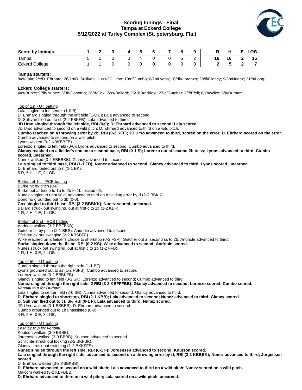# **Scoring Innings - Final Tampa at Eckerd College 5/12/2022 at Turley Complex (St. petersburg, Fla.)**



| <b>Score by Innings</b>                                                                                                                                             |   | 2 | 3 | 4 | 5 | 6 |   | 8 | 9 | R  | н  |   | <b>LOB</b> |  |
|---------------------------------------------------------------------------------------------------------------------------------------------------------------------|---|---|---|---|---|---|---|---|---|----|----|---|------------|--|
| Tampa                                                                                                                                                               | 5 | 0 | 0 | 0 | 4 |   | 0 | 5 | 2 | 16 | 16 |   | 15         |  |
| <b>Eckerd College</b>                                                                                                                                               |   |   | 0 |   |   | 0 | 0 |   | 0 |    | 5  | 2 |            |  |
| Tampa starters:<br>8/cf/Lala; 2/c/D. Ehrhard; 26/1b/D. Sullivan; 11/ss/JD Urso; 19/rf/Cumbo; 0/2b/Lyons; 10/dh/Lorenzo; 29/lf/Glancy; 9/3b/Nunez; 21/p/Long;        |   |   |   |   |   |   |   |   |   |    |    |   |            |  |
| <b>Eckerd College starters:</b><br>4/cf/Burke; 9/dh/Nunez; 3/3b/Donofrio; 26/rf/Cox; 7/ss/Ballard; 25/1b/Andriole; 27/c/Gutcher; 2/lf/Pfeil; 6/2b/Wike; 5/p/Durham; |   |   |   |   |   |   |   |   |   |    |    |   |            |  |
| Top of 1st - UT batting<br>Lala singled to left center (1-0 B).                                                                                                     |   |   |   |   |   |   |   |   |   |    |    |   |            |  |

D. Ehrhard singled through the left side (1-0 B); Lala advanced to second.

D. Sullivan flied out to cf (2-2 FBKFB); Lala advanced to third.

**JD Urso singled through the left side, RBI (0-0); D. Ehrhard advanced to second; Lala scored.**

JD Urso advanced to second on a wild pitch; D. Ehrhard advanced to third on a wild pitch.

**Cumbo reached on a throwing error by 2b, RBI (0-2 KFF); JD Urso advanced to third, scored on the error; D. Ehrhard scored on the error.** Cumbo advanced to second on a wild pitch.

Lyons walked (3-2 KBKBBFB).

Lorenzo singled to left field (0-0); Lyons advanced to second; Cumbo advanced to third.

**Glancy reached on a fielder's choice to second base, RBI (0-1 S); Lorenzo out at second 2b to ss; Lyons advanced to third; Cumbo scored, unearned.**

Nunez walked (3-2 FBBBKB); Glancy advanced to second.

**Lala singled to third base, RBI (1-1 FB); Nunez advanced to second; Glancy advanced to third; Lyons scored, unearned.**

D. Ehrhard fouled out to rf (1-1 BK). 5 R, 5 H, 1 E, 3 LOB.

Bottom of 1st - ECB batting Burke hit by pitch (0-0). Burke out at first p to 1b to 2b to 1b, picked off. Nunez singled to right field, advanced to third on a fielding error by rf (2-2 BBKK). Donofrio grounded out to 3b (0-0). **Cox singled to third base, RBI (3-2 BBBKK); Nunez scored, unearned.** Ballard struck out swinging, out at first c to 1b (1-2 KBF). 1 R, 2 H, 1 E, 1 LOB. Bottom of 2nd - ECB batting Andriole walked (3-2 BBFBKB). Gutcher hit by pitch (2-1 BBS); Andriole advanced to second. Pfeil struck out swinging (2-2 KBSBFF). Wike reached on a fielder's choice to shortstop (0-2 FSF); Gutcher out at second ss to 2b; Andriole advanced to third. **Burke singled down the lf line, RBI (0-2 KS); Wike advanced to second; Andriole scored.** Nunez struck out swinging, out at first c to 1b (1-2 FFB). 1 R, 1 H, 0 E, 2 LOB. Top of 5th - UT batting Cumbo singled through the right side (1-1 BF). Lyons grounded out to ss (1-2 FSFB); Cumbo advanced to second. Lorenzo walked (3-2 BBBKFB). Glancy singled to left field (0-2 SK); Lorenzo advanced to second; Cumbo advanced to third. **Nunez singled through the right side, 2 RBI (3-2 KBFFFBB); Glancy advanced to second; Lorenzo scored; Cumbo scored.** *Venditti to p for Durham.* Lala singled to center field (2-0 BB); Nunez advanced to second; Glancy advanced to third. **D. Ehrhard singled to shortstop, RBI (2-1 KBB); Lala advanced to second; Nunez advanced to third; Glancy scored. D. Sullivan flied out to cf, SF, RBI (0-1 F); Lala advanced to third; Nunez scored.** JD Urso walked (3-1 BSBBB); D. Ehrhard advanced to second. Cumbo grounded out to 1b unassisted (0-0). 4 R, 5 H, 0 E, 3 LOB. Top of 8th - UT batting *Lashley to p for Venditti.* Knutson walked (3-0 BBBB). Jorgensen walked (3-0 BBBB); Knutson advanced to second. Schlichte struck out looking (2-2 BKFBK). Glancy struck out swinging (1-2 BKKFFS). **Nunez singled through the left side, RBI (0-1 F); Jorgensen advanced to second; Knutson scored. Lala singled through the right side, advanced to second on a throwing error by rf, RBI (3-2 KBBBK); Nunez advanced to third; Jorgensen scored.** D. Ehrhard walked (3-2 KBBKBB). **D. Ehrhard advanced to second on a wild pitch; Lala advanced to third on a wild pitch; Nunez scored on a wild pitch.** Malcom walked (3-2 KBFBBB).

**D. Ehrhard advanced to third on a wild pitch; Lala scored on a wild pitch, unearned.**